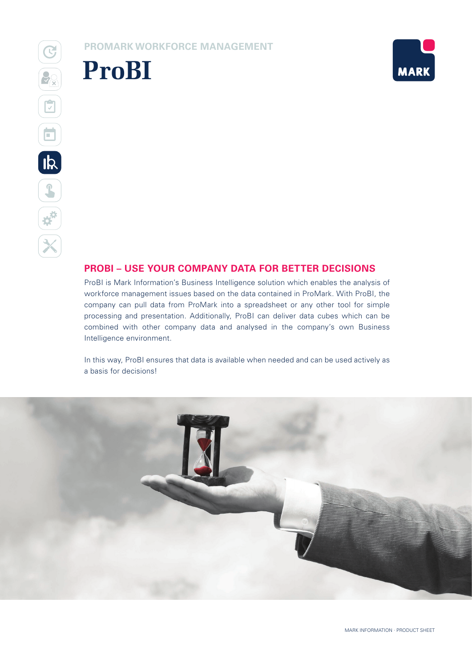**PROMARK WORKFORCE MANAGEMENT**





### **PROBI – USE YOUR COMPANY DATA FOR BETTER DECISIONS**

ProBI is Mark Information's Business Intelligence solution which enables the analysis of workforce management issues based on the data contained in ProMark. With ProBI, the company can pull data from ProMark into a spreadsheet or any other tool for simple processing and presentation. Additionally, ProBI can deliver data cubes which can be combined with other company data and analysed in the company's own Business Intelligence environment.

In this way, ProBI ensures that data is available when needed and can be used actively as a basis for decisions!

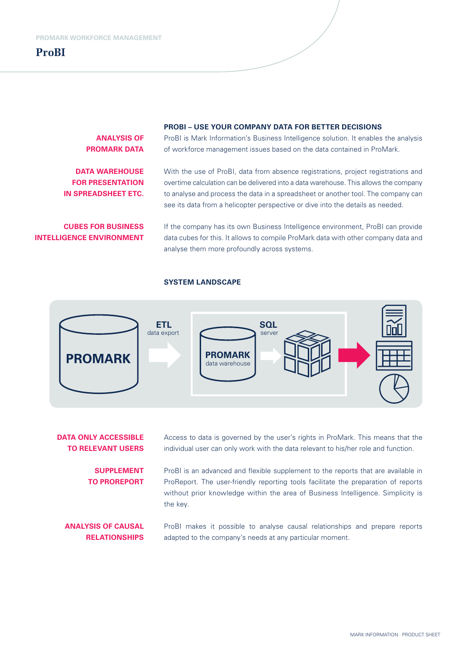

**ANALYSIS OF PROMARK DATA** 

**DATA WAREHOUSE FOR PRESENTATION IN SPREADSHEET ETC.**

**CUBES FOR BUSINESS INTELLIGENCE ENVIRONMENT**

#### **PROBI – USE YOUR COMPANY DATA FOR BETTER DECISIONS**

ProBI is Mark Information's Business Intelligence solution. It enables the analysis of workforce management issues based on the data contained in ProMark.

With the use of ProBI, data from absence registrations, project registrations and overtime calculation can be delivered into a data warehouse. This allows the company to analyse and process the data in a spreadsheet or another tool. The company can see its data from a helicopter perspective or dive into the details as needed.

If the company has its own Business Intelligence environment, ProBI can provide data cubes for this. It allows to compile ProMark data with other company data and analyse them more profoundly across systems.

#### **SYSTEM LANDSCAPE**



**DATA ONLY ACCESSIBLE TO RELEVANT USERS**  Access to data is governed by the user's rights in ProMark. This means that the individual user can only work with the data relevant to his/her role and function.

**SUPPLEMENT TO PROREPORT** ProBI is an advanced and flexible supplement to the reports that are available in ProReport. The user-friendly reporting tools facilitate the preparation of reports without prior knowledge within the area of Business Intelligence. Simplicity is the key.

**ANALYSIS OF CAUSAL RELATIONSHIPS** ProBI makes it possible to analyse causal relationships and prepare reports adapted to the company's needs at any particular moment.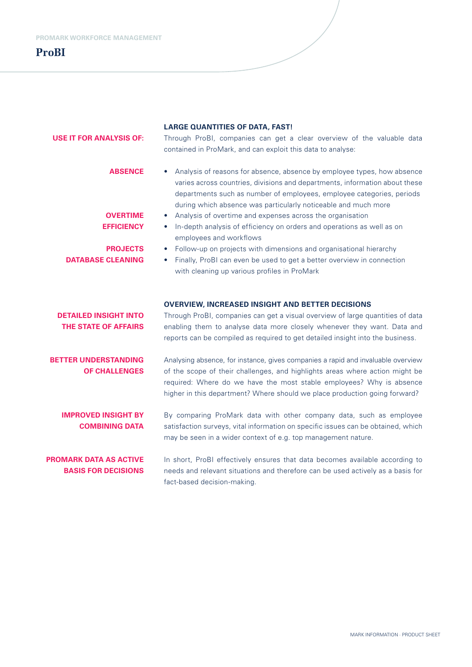| <b>USE IT FOR ANALYSIS OF:</b>                                                                        | <b>LARGE QUANTITIES OF DATA, FAST!</b><br>Through ProBI, companies can get a clear overview of the valuable data<br>contained in ProMark, and can exploit this data to analyse:                                                                                                                                                                                                                                                                                                                                                                                                                                                                                       |
|-------------------------------------------------------------------------------------------------------|-----------------------------------------------------------------------------------------------------------------------------------------------------------------------------------------------------------------------------------------------------------------------------------------------------------------------------------------------------------------------------------------------------------------------------------------------------------------------------------------------------------------------------------------------------------------------------------------------------------------------------------------------------------------------|
| <b>ABSENCE</b><br><b>OVERTIME</b><br><b>EFFICIENCY</b><br><b>PROJECTS</b><br><b>DATABASE CLEANING</b> | • Analysis of reasons for absence, absence by employee types, how absence<br>varies across countries, divisions and departments, information about these<br>departments such as number of employees, employee categories, periods<br>during which absence was particularly noticeable and much more<br>Analysis of overtime and expenses across the organisation<br>In-depth analysis of efficiency on orders and operations as well as on<br>employees and workflows<br>Follow-up on projects with dimensions and organisational hierarchy<br>Finally, ProBI can even be used to get a better overview in connection<br>with cleaning up various profiles in ProMark |
| <b>DETAILED INSIGHT INTO</b><br><b>THE STATE OF AFFAIRS</b>                                           | <b>OVERVIEW, INCREASED INSIGHT AND BETTER DECISIONS</b><br>Through ProBI, companies can get a visual overview of large quantities of data<br>enabling them to analyse data more closely whenever they want. Data and<br>reports can be compiled as required to get detailed insight into the business.                                                                                                                                                                                                                                                                                                                                                                |
| <b>BETTER UNDERSTANDING</b><br><b>OF CHALLENGES</b>                                                   | Analysing absence, for instance, gives companies a rapid and invaluable overview<br>of the scope of their challenges, and highlights areas where action might be<br>required: Where do we have the most stable employees? Why is absence<br>higher in this department? Where should we place production going forward?                                                                                                                                                                                                                                                                                                                                                |
| <b>IMPROVED INSIGHT BY</b><br><b>COMBINING DATA</b>                                                   | By comparing ProMark data with other company data, such as employee<br>satisfaction surveys, vital information on specific issues can be obtained, which<br>may be seen in a wider context of e.g. top management nature.                                                                                                                                                                                                                                                                                                                                                                                                                                             |
| <b>PROMARK DATA AS ACTIVE</b><br><b>BASIS FOR DECISIONS</b>                                           | In short, ProBI effectively ensures that data becomes available according to<br>needs and relevant situations and therefore can be used actively as a basis for<br>fact-based decision-making.                                                                                                                                                                                                                                                                                                                                                                                                                                                                        |

MARK INFORMATION · PRODUCT SHEET